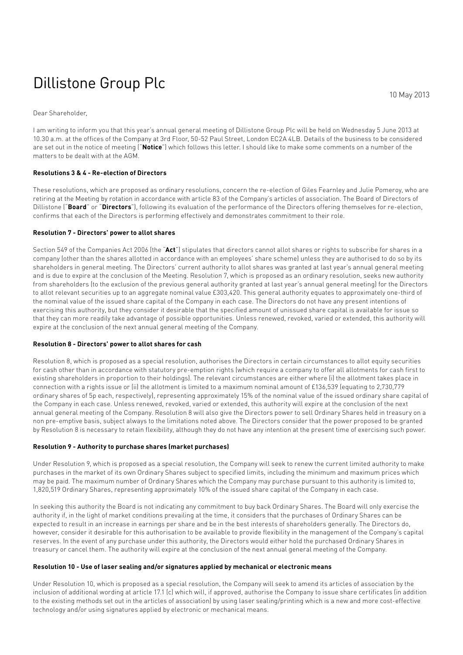# Dillistone Group Plc

Dear Shareholder,

I am writing to inform you that this year's annual general meeting of Dillistone Group Plc will be held on Wednesday 5 June 2013 at 10.30 a.m. at the offices of the Company at 3rd Floor, 50-52 Paul Street, London EC2A 4LB. Details of the business to be considered are set out in the notice of meeting ("**Notice**") which follows this letter. I should like to make some comments on a number of the matters to be dealt with at the AGM.

#### **Resolutions 3 & 4 - Re-election of Directors**

These resolutions, which are proposed as ordinary resolutions, concern the re-election of Giles Fearnley and Julie Pomeroy, who are retiring at the Meeting by rotation in accordance with article 83 of the Company's articles of association. The Board of Directors of Dillistone ("**Board**" or "**Directors**"), following its evaluation of the performance of the Directors offering themselves for re-election, confirms that each of the Directors is performing effectively and demonstrates commitment to their role.

#### **Resolution 7 - Directors' power to allot shares**

Section 549 of the Companies Act 2006 (the "**Act**") stipulates that directors cannot allot shares or rights to subscribe for shares in a company (other than the shares allotted in accordance with an employees' share scheme) unless they are authorised to do so by its shareholders in general meeting. The Directors' current authority to allot shares was granted at last year's annual general meeting and is due to expire at the conclusion of the Meeting. Resolution 7, which is proposed as an ordinary resolution, seeks new authority from shareholders (to the exclusion of the previous general authority granted at last year's annual general meeting) for the Directors to allot relevant securities up to an aggregate nominal value £303,420. This general authority equates to approximately one-third of the nominal value of the issued share capital of the Company in each case. The Directors do not have any present intentions of exercising this authority, but they consider it desirable that the specified amount of unissued share capital is available for issue so that they can more readily take advantage of possible opportunities. Unless renewed, revoked, varied or extended, this authority will expire at the conclusion of the next annual general meeting of the Company.

#### **Resolution 8 - Directors' power to allot shares for cash**

Resolution 8, which is proposed as a special resolution, authorises the Directors in certain circumstances to allot equity securities for cash other than in accordance with statutory pre-emption rights (which require a company to offer all allotments for cash first to existing shareholders in proportion to their holdings). The relevant circumstances are either where (i) the allotment takes place in connection with a rights issue or (ii) the allotment is limited to a maximum nominal amount of £136,539 (equating to 2,730,779 ordinary shares of 5p each, respectively), representing approximately 15% of the nominal value of the issued ordinary share capital of the Company in each case. Unless renewed, revoked, varied or extended, this authority will expire at the conclusion of the next annual general meeting of the Company. Resolution 8 will also give the Directors power to sell Ordinary Shares held in treasury on a non pre-emptive basis, subject always to the limitations noted above. The Directors consider that the power proposed to be granted by Resolution 8 is necessary to retain flexibility, although they do not have any intention at the present time of exercising such power.

#### **Resolution 9 - Authority to purchase shares (market purchases)**

Under Resolution 9, which is proposed as a special resolution, the Company will seek to renew the current limited authority to make purchases in the market of its own Ordinary Shares subject to specified limits, including the minimum and maximum prices which may be paid. The maximum number of Ordinary Shares which the Company may purchase pursuant to this authority is limited to, 1,820,519 Ordinary Shares, representing approximately 10% of the issued share capital of the Company in each case.

In seeking this authority the Board is not indicating any commitment to buy back Ordinary Shares. The Board will only exercise the authority if, in the light of market conditions prevailing at the time, it considers that the purchases of Ordinary Shares can be expected to result in an increase in earnings per share and be in the best interests of shareholders generally. The Directors do, however, consider it desirable for this authorisation to be available to provide flexibility in the management of the Company's capital reserves. In the event of any purchase under this authority, the Directors would either hold the purchased Ordinary Shares in treasury or cancel them. The authority will expire at the conclusion of the next annual general meeting of the Company.

#### **Resolution 10 - Use of laser sealing and/or signatures applied by mechanical or electronic means**

Under Resolution 10, which is proposed as a special resolution, the Company will seek to amend its articles of association by the inclusion of additional wording at article 17.1 (c) which will, if approved, authorise the Company to issue share certificates (in addition to the existing methods set out in the articles of association) by using laser sealing/printing which is a new and more cost-effective technology and/or using signatures applied by electronic or mechanical means.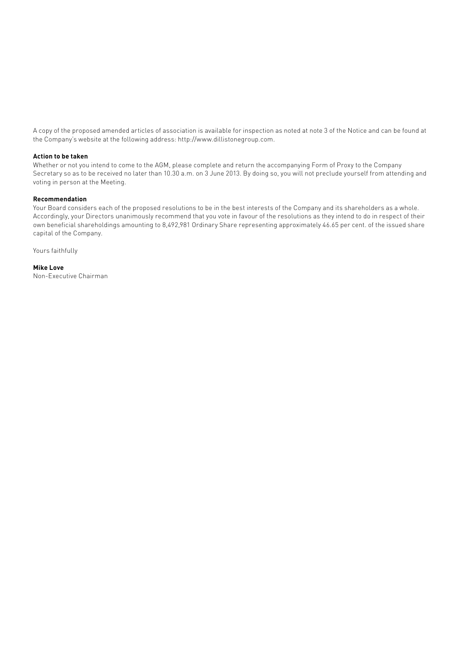A copy of the proposed amended articles of association is available for inspection as noted at note 3 of the Notice and can be found at the Company's website at the following address: http://www.dillistonegroup.com.

#### **Action to be taken**

Whether or not you intend to come to the AGM, please complete and return the accompanying Form of Proxy to the Company Secretary so as to be received no later than 10.30 a.m. on 3 June 2013. By doing so, you will not preclude yourself from attending and voting in person at the Meeting.

#### **Recommendation**

Your Board considers each of the proposed resolutions to be in the best interests of the Company and its shareholders as a whole. Accordingly, your Directors unanimously recommend that you vote in favour of the resolutions as they intend to do in respect of their own beneficial shareholdings amounting to 8,492,981 Ordinary Share representing approximately 46.65 per cent. of the issued share capital of the Company.

Yours faithfully

**Mike Love** Non-Executive Chairman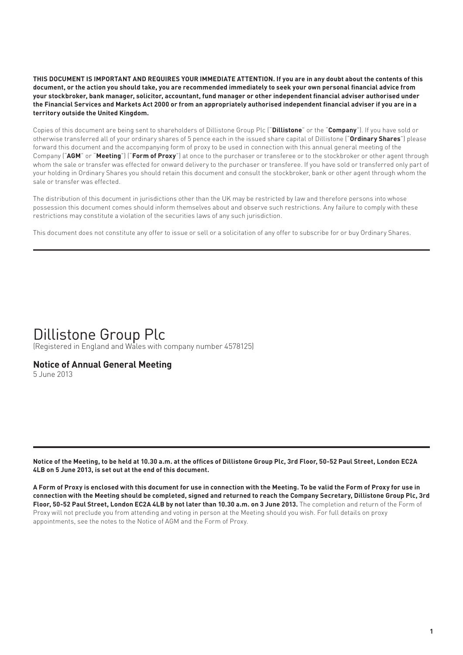**THIS DOCUMENT IS IMPORTANT AND REQUIRES YOUR IMMEDIATE ATTENTION. If you are in any doubt about the contents of this document, or the action you should take, you are recommended immediately to seek your own personal financial advice from your stockbroker, bank manager, solicitor, accountant, fund manager or other independent financial adviser authorised under the Financial Services and Markets Act 2000 or from an appropriately authorised independent financial adviser if you are in a territory outside the United Kingdom.**

Copies of this document are being sent to shareholders of Dillistone Group Plc ("**Dillistone**" or the "**Company**"). If you have sold or otherwise transferred all of your ordinary shares of 5 pence each in the issued share capital of Dillistone ("**Ordinary Shares**") please forward this document and the accompanying form of proxy to be used in connection with this annual general meeting of the Company ("**AGM**" or "**Meeting**") ("**Form of Proxy**") at once to the purchaser or transferee or to the stockbroker or other agent through whom the sale or transfer was effected for onward delivery to the purchaser or transferee. If you have sold or transferred only part of your holding in Ordinary Shares you should retain this document and consult the stockbroker, bank or other agent through whom the sale or transfer was effected.

The distribution of this document in jurisdictions other than the UK may be restricted by law and therefore persons into whose possession this document comes should inform themselves about and observe such restrictions. Any failure to comply with these restrictions may constitute a violation of the securities laws of any such jurisdiction.

This document does not constitute any offer to issue or sell or a solicitation of any offer to subscribe for or buy Ordinary Shares.

### Dillistone Group Plc

(Registered in England and Wales with company number 4578125)

### **Notice of Annual General Meeting**

5 June 2013

**Notice of the Meeting, to be held at 10.30 a.m. at the offices of Dillistone Group Plc, 3rd Floor, 50-52 Paul Street, London EC2A 4LB on 5 June 2013, is set out at the end of this document.**

**A Form of Proxy is enclosed with this document for use in connection with the Meeting. To be valid the Form of Proxy for use in connection with the Meeting should be completed, signed and returned to reach the Company Secretary, Dillistone Group Plc, 3rd Floor, 50-52 Paul Street, London EC2A 4LB by not later than 10.30 a.m. on 3 June 2013.** The completion and return of the Form of Proxy will not preclude you from attending and voting in person at the Meeting should you wish. For full details on proxy appointments, see the notes to the Notice of AGM and the Form of Proxy.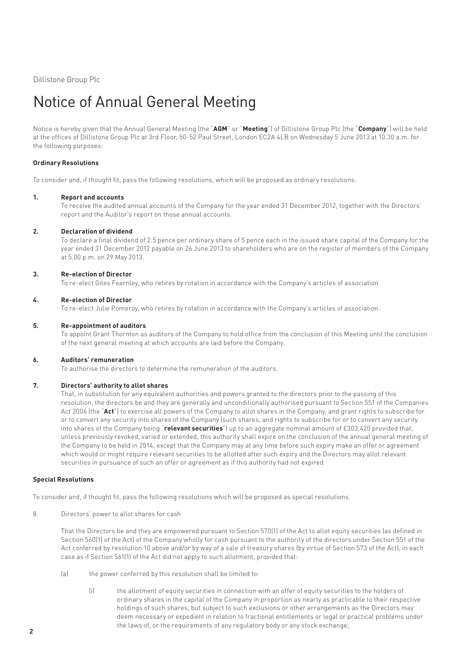Dillistone Group Plc

## Notice of Annual General Meeting

Notice is hereby given that the Annual General Meeting (the "**AGM**" or "**Meeting**") of Dillistone Group Plc (the "**Company**") will be held at the offices of Dillistone Group Plc at 3rd Floor, 50-52 Paul Street, London EC2A 4LB on Wednesday 5 June 2013 at 10.30 a.m. for the following purposes:

#### **Ordinary Resolutions**

To consider and, if thought fit, pass the following resolutions, which will be proposed as ordinary resolutions:

#### **1. Report and accounts**

 To receive the audited annual accounts of the Company for the year ended 31 December 2012, together with the Directors' report and the Auditor's report on those annual accounts.

#### **2. Declaration of dividend**

 To declare a final dividend of 2.5 pence per ordinary share of 5 pence each in the issued share capital of the Company for the year ended 31 December 2012 payable on 26 June 2013 to shareholders who are on the register of members of the Company at 5.00 p.m. on 29 May 2013.

#### **3. Re-election of Director**

To re-elect Giles Fearnley, who retires by rotation in accordance with the Company's articles of association.

#### **4. Re-election of Director**

To re-elect Julie Pomeroy, who retires by rotation in accordance with the Company's articles of association.

#### **5. Re-appointment of auditors**

 To appoint Grant Thornton as auditors of the Company to hold office from the conclusion of this Meeting until the conclusion of the next general meeting at which accounts are laid before the Company.

#### **6. Auditors' remuneration**

To authorise the directors to determine the remuneration of the auditors.

#### **7. Directors' authority to allot shares**

 That, in substitution for any equivalent authorities and powers granted to the directors prior to the passing of this resolution, the directors be and they are generally and unconditionally authorised pursuant to Section 551 of the Companies Act 2006 (the "**Act**") to exercise all powers of the Company to allot shares in the Company, and grant rights to subscribe for or to convert any security into shares of the Company (such shares, and rights to subscribe for or to convert any security into shares of the Company being "relevant securities") up to an aggregate nominal amount of £303,420 provided that, unless previously revoked, varied or extended, this authority shall expire on the conclusion of the annual general meeting of the Company to be held in 2014, except that the Company may at any time before such expiry make an offer or agreement which would or might require relevant securities to be allotted after such expiry and the Directors may allot relevant securities in pursuance of such an offer or agreement as if this authority had not expired.

#### **Special Resolutions**

To consider and, if thought fit, pass the following resolutions which will be proposed as special resolutions.

8. Directors' power to allot shares for cash

 That the Directors be and they are empowered pursuant to Section 570(1) of the Act to allot equity securities (as defined in Section 560(1) of the Act) of the Company wholly for cash pursuant to the authority of the directors under Section 551 of the Act conferred by resolution 10 above and/or by way of a sale of treasury shares (by virtue of Section 573 of the Act), in each case as if Section 561(1) of the Act did not apply to such allotment, provided that:

- (a) the power conferred by this resolution shall be limited to:
	- (i) the allotment of equity securities in connection with an offer of equity securities to the holders of ordinary shares in the capital of the Company in proportion as nearly as practicable to their respective holdings of such shares, but subject to such exclusions or other arrangements as the Directors may deem necessary or expedient in relation to fractional entitlements or legal or practical problems under the laws of, or the requirements of any regulatory body or any stock exchange;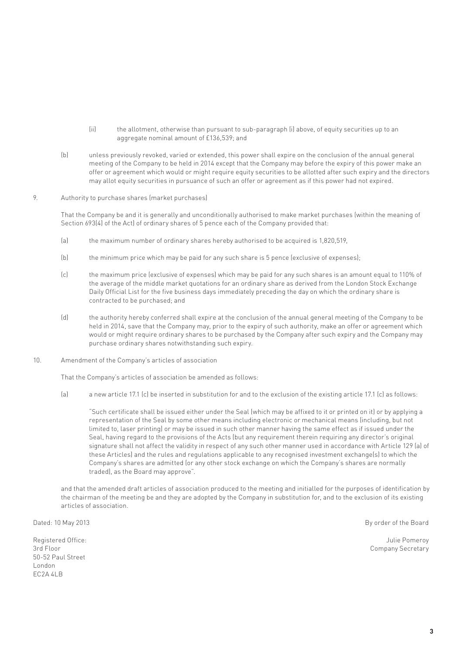- (ii) the allotment, otherwise than pursuant to sub-paragraph (i) above, of equity securities up to an aggregate nominal amount of £136,539; and
- (b) unless previously revoked, varied or extended, this power shall expire on the conclusion of the annual general meeting of the Company to be held in 2014 except that the Company may before the expiry of this power make an offer or agreement which would or might require equity securities to be allotted after such expiry and the directors may allot equity securities in pursuance of such an offer or agreement as if this power had not expired.

#### 9. Authority to purchase shares (market purchases)

 That the Company be and it is generally and unconditionally authorised to make market purchases (within the meaning of Section 693(4) of the Act) of ordinary shares of 5 pence each of the Company provided that:

- (a) the maximum number of ordinary shares hereby authorised to be acquired is 1,820,519,
- (b) the minimum price which may be paid for any such share is 5 pence (exclusive of expenses);
- (c) the maximum price (exclusive of expenses) which may be paid for any such shares is an amount equal to 110% of the average of the middle market quotations for an ordinary share as derived from the London Stock Exchange Daily Official List for the five business days immediately preceding the day on which the ordinary share is contracted to be purchased; and
- (d) the authority hereby conferred shall expire at the conclusion of the annual general meeting of the Company to be held in 2014, save that the Company may, prior to the expiry of such authority, make an offer or agreement which would or might require ordinary shares to be purchased by the Company after such expiry and the Company may purchase ordinary shares notwithstanding such expiry.
- 10. Amendment of the Company's articles of association

That the Company's articles of association be amended as follows:

(a) a new article 17.1 (c) be inserted in substitution for and to the exclusion of the existing article 17.1 (c) as follows:

 "Such certificate shall be issued either under the Seal (which may be affixed to it or printed on it) or by applying a representation of the Seal by some other means including electronic or mechanical means (including, but not limited to, laser printing) or may be issued in such other manner having the same effect as if issued under the Seal, having regard to the provisions of the Acts (but any requirement therein requiring any director's original signature shall not affect the validity in respect of any such other manner used in accordance with Article 129 (a) of these Articles) and the rules and regulations applicable to any recognised investment exchange(s) to which the Company's shares are admitted (or any other stock exchange on which the Company's shares are normally traded), as the Board may approve".

 and that the amended draft articles of association produced to the meeting and initialled for the purposes of identification by the chairman of the meeting be and they are adopted by the Company in substitution for, and to the exclusion of its existing articles of association.

Registered Office: Julie Pomeroy 50-52 Paul Street London EC2A 4LB

Dated: 10 May 2013 **By order of the Board** Board Board Board Board Board Board Board Board Board Board Board Board

3rd Floor Company Secretary